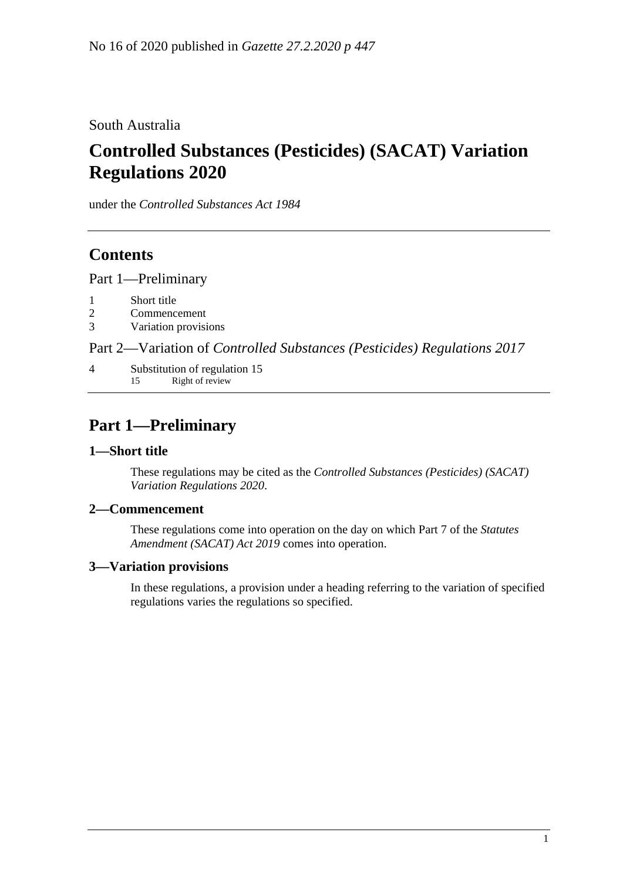South Australia

# **Controlled Substances (Pesticides) (SACAT) Variation Regulations 2020**

under the *Controlled Substances Act 1984*

# **Contents**

Part [1—Preliminary](#page-0-0)

- 1 [Short title](#page-0-1)
- 2 [Commencement](#page-0-2)
- 3 [Variation provisions](#page-0-3)

Part 2—Variation of *[Controlled Substances \(Pesticides\) Regulations](#page-1-0) 2017*

4 [Substitution of regulation 15](#page-1-1) 15 Right of review

# <span id="page-0-0"></span>**Part 1—Preliminary**

### <span id="page-0-1"></span>**1—Short title**

These regulations may be cited as the *Controlled Substances (Pesticides) (SACAT) Variation Regulations 2020*.

### <span id="page-0-2"></span>**2—Commencement**

These regulations come into operation on the day on which Part 7 of the *[Statutes](http://www.legislation.sa.gov.au/index.aspx?action=legref&type=act&legtitle=Statutes%20Amendment%20(SACAT)%20Act%202019)  [Amendment \(SACAT\) Act 2019](http://www.legislation.sa.gov.au/index.aspx?action=legref&type=act&legtitle=Statutes%20Amendment%20(SACAT)%20Act%202019)* comes into operation.

### <span id="page-0-3"></span>**3—Variation provisions**

In these regulations, a provision under a heading referring to the variation of specified regulations varies the regulations so specified.